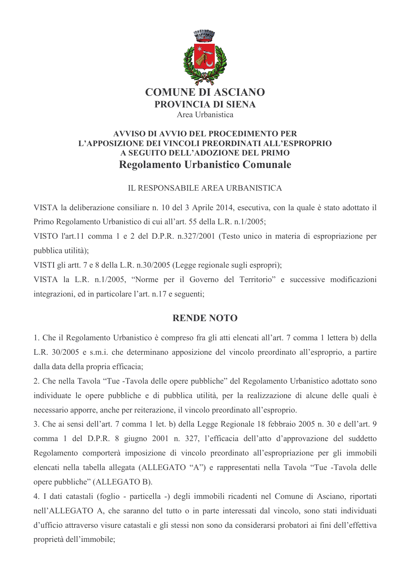

## **AVVISO DI AVVIO DEL PROCEDIMENTO PER** L'APPOSIZIONE DEI VINCOLI PREORDINATI ALL'ESPROPRIO A SEGUITO DELL'ADOZIONE DEL PRIMO **Regolamento Urbanistico Comunale**

## **IL RESPONSABILE AREA URBANISTICA**

VISTA la deliberazione consiliare n. 10 del 3 Aprile 2014, esecutiva, con la quale è stato adottato il Primo Regolamento Urbanistico di cui all'art. 55 della L.R. n.1/2005;

VISTO l'art.11 comma 1 e 2 del D.P.R. n.327/2001 (Testo unico in materia di espropriazione per pubblica utilità);

VISTI gli artt. 7 e 8 della L.R. n.30/2005 (Legge regionale sugli espropri);

VISTA la L.R. n.1/2005, "Norme per il Governo del Territorio" e successive modificazioni integrazioni, ed in particolare l'art. n.17 e seguenti;

## **RENDE NOTO**

1. Che il Regolamento Urbanistico è compreso fra gli atti elencati all'art. 7 comma 1 lettera b) della L.R. 30/2005 e s.m.i. che determinano apposizione del vincolo preordinato all'esproprio, a partire dalla data della propria efficacia;

2. Che nella Tavola "Tue -Tavola delle opere pubbliche" del Regolamento Urbanistico adottato sono individuate le opere pubbliche e di pubblica utilità, per la realizzazione di alcune delle quali è necessario apporre, anche per reiterazione, il vincolo preordinato all'esproprio.

3. Che ai sensi dell'art. 7 comma 1 let. b) della Legge Regionale 18 febbraio 2005 n. 30 e dell'art. 9 comma 1 del D.P.R. 8 giugno 2001 n. 327, l'efficacia dell'atto d'approvazione del suddetto Regolamento comporterà imposizione di vincolo preordinato all'espropriazione per gli immobili elencati nella tabella allegata (ALLEGATO "A") e rappresentati nella Tavola "Tue -Tavola delle opere pubbliche" (ALLEGATO B).

4. I dati catastali (foglio - particella -) degli immobili ricadenti nel Comune di Asciano, riportati nell'ALLEGATO A, che saranno del tutto o in parte interessati dal vincolo, sono stati individuati d'ufficio attraverso visure catastali e gli stessi non sono da considerarsi probatori ai fini dell'effettiva proprietà dell'immobile;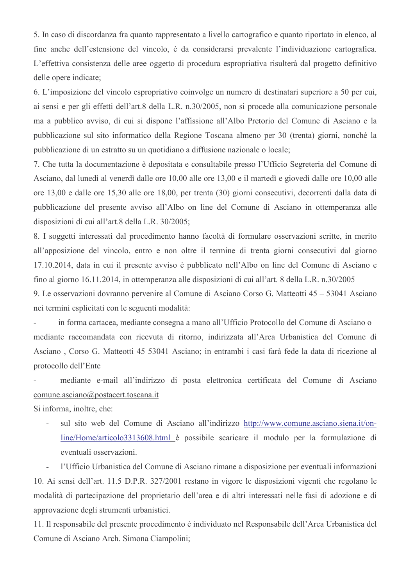5. In caso di discordanza fra quanto rappresentato a livello cartografico e quanto riportato in elenco, al fine anche dell'estensione del vincolo, è da considerarsi prevalente l'individuazione cartografica. L'effettiva consistenza delle aree oggetto di procedura espropriativa risulterà dal progetto definitivo delle opere indicate;

6. L'imposizione del vincolo espropriativo coinvolge un numero di destinatari superiore a 50 per cui, ai sensi e per gli effetti dell'art.8 della L.R. n.30/2005, non si procede alla comunicazione personale ma a pubblico avviso, di cui si dispone l'affissione all'Albo Pretorio del Comune di Asciano e la pubblicazione sul sito informatico della Regione Toscana almeno per 30 (trenta) giorni, nonché la pubblicazione di un estratto su un quotidiano a diffusione nazionale o locale;

7. Che tutta la documentazione è depositata e consultabile presso l'Ufficio Segreteria del Comune di Asciano, dal lunedì al venerdì dalle ore 10,00 alle ore 13,00 e il martedì e giovedì dalle ore 10,00 alle ore 13,00 e dalle ore 15,30 alle ore 18,00, per trenta (30) giorni consecutivi, decorrenti dalla data di pubblicazione del presente avviso all'Albo on line del Comune di Asciano in ottemperanza alle disposizioni di cui all'art.8 della L.R. 30/2005;

8. I soggetti interessati dal procedimento hanno facoltà di formulare osservazioni scritte, in merito all'apposizione del vincolo, entro e non oltre il termine di trenta giorni consecutivi dal giorno 17.10.2014, data in cui il presente avviso è pubblicato nell'Albo on line del Comune di Asciano e fino al giorno 16.11.2014, in ottemperanza alle disposizioni di cui all'art. 8 della L.R. n.30/2005

9. Le osservazioni dovranno pervenire al Comune di Asciano Corso G. Matteotti 45 – 53041 Asciano nei termini esplicitati con le seguenti modalità:

in forma cartacea, mediante consegna a mano all'Ufficio Protocollo del Comune di Asciano o mediante raccomandata con ricevuta di ritorno, indirizzata all'Area Urbanistica del Comune di Asciano, Corso G. Matteotti 45 53041 Asciano; in entrambi i casi farà fede la data di ricezione al protocollo dell'Ente

mediante e-mail all'indirizzo di posta elettronica certificata del Comune di Asciano comune.asciano@postacert.toscana.it

Si informa, inoltre, che:

sul sito web del Comune di Asciano all'indirizzo http://www.comune.asciano.siena.it/on- $\mathcal{L}^{\mathcal{L}}$ line/Home/articolo3313608.html è possibile scaricare il modulo per la formulazione di eventuali osservazioni.

l'Ufficio Urbanistica del Comune di Asciano rimane a disposizione per eventuali informazioni  $\mathbb{Z}^{\mathbb{Z}}$ 

10. Ai sensi dell'art. 11.5 D.P.R. 327/2001 restano in vigore le disposizioni vigenti che regolano le modalità di partecipazione del proprietario dell'area e di altri interessati nelle fasi di adozione e di approvazione degli strumenti urbanistici.

11. Il responsabile del presente procedimento è individuato nel Responsabile dell'Area Urbanistica del Comune di Asciano Arch. Simona Ciampolini;